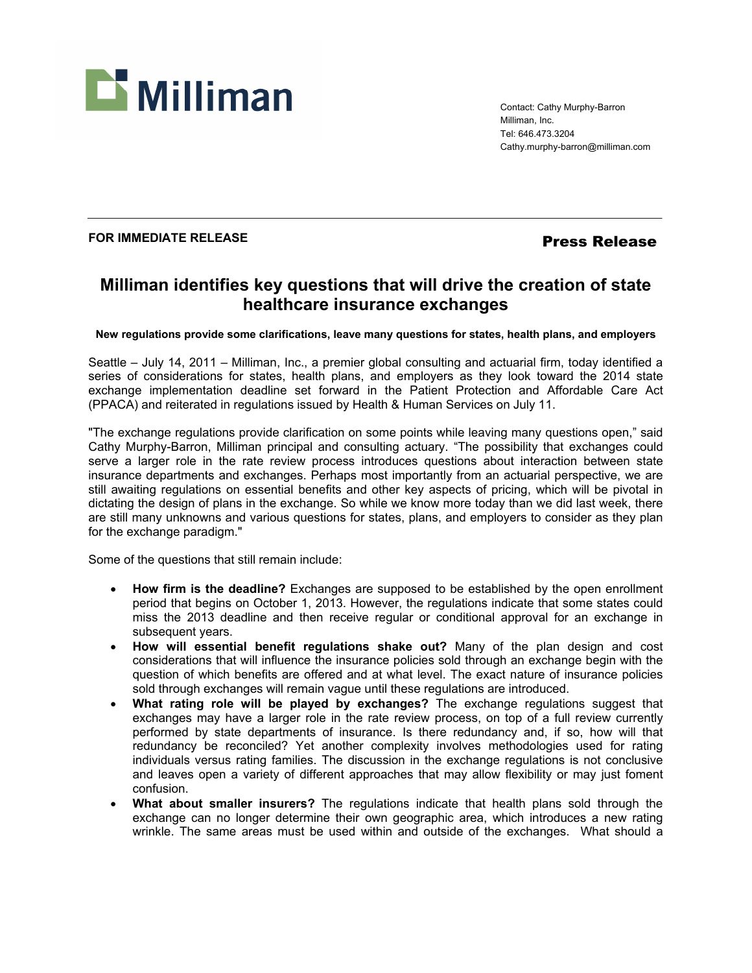

Contact: Cathy Murphy-Barron Milliman, Inc. Tel: 646.473.3204 Cathy.murphy-barron@milliman.com

## FOR IMMEDIATE RELEASE *Press Release*

# **Milliman identifies key questions that will drive the creation of state healthcare insurance exchanges**

**New regulations provide some clarifications, leave many questions for states, health plans, and employers** 

Seattle – July 14, 2011 – Milliman, Inc., a premier global consulting and actuarial firm, today identified a series of considerations for states, health plans, and employers as they look toward the 2014 state exchange implementation deadline set forward in the Patient Protection and Affordable Care Act (PPACA) and reiterated in regulations issued by Health & Human Services on July 11.

"The exchange regulations provide clarification on some points while leaving many questions open," said Cathy Murphy-Barron, Milliman principal and consulting actuary. "The possibility that exchanges could serve a larger role in the rate review process introduces questions about interaction between state insurance departments and exchanges. Perhaps most importantly from an actuarial perspective, we are still awaiting regulations on essential benefits and other key aspects of pricing, which will be pivotal in dictating the design of plans in the exchange. So while we know more today than we did last week, there are still many unknowns and various questions for states, plans, and employers to consider as they plan for the exchange paradigm."

Some of the questions that still remain include:

- **How firm is the deadline?** Exchanges are supposed to be established by the open enrollment period that begins on October 1, 2013. However, the regulations indicate that some states could miss the 2013 deadline and then receive regular or conditional approval for an exchange in subsequent years.
- **How will essential benefit regulations shake out?** Many of the plan design and cost considerations that will influence the insurance policies sold through an exchange begin with the question of which benefits are offered and at what level. The exact nature of insurance policies sold through exchanges will remain vague until these regulations are introduced.
- **What rating role will be played by exchanges?** The exchange regulations suggest that exchanges may have a larger role in the rate review process, on top of a full review currently performed by state departments of insurance. Is there redundancy and, if so, how will that redundancy be reconciled? Yet another complexity involves methodologies used for rating individuals versus rating families. The discussion in the exchange regulations is not conclusive and leaves open a variety of different approaches that may allow flexibility or may just foment confusion.
- **What about smaller insurers?** The regulations indicate that health plans sold through the exchange can no longer determine their own geographic area, which introduces a new rating wrinkle. The same areas must be used within and outside of the exchanges. What should a